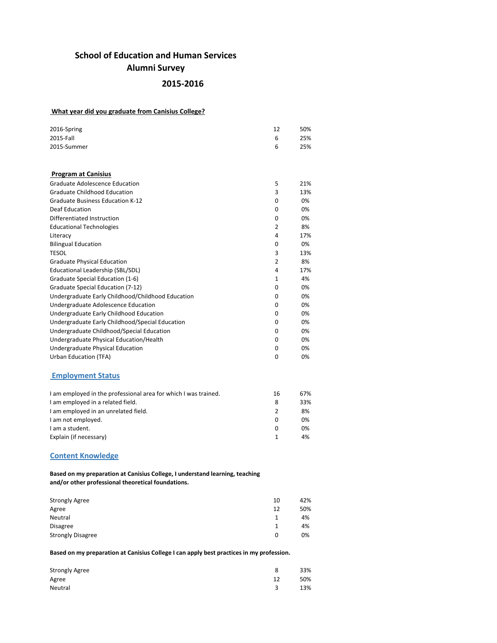# **School of Education and Human Services Alumni Survey**

# **2015-2016**

## **What year did you graduate from Canisius College?**

| 2016-Spring                                                    | 12             | 50% |
|----------------------------------------------------------------|----------------|-----|
| 2015-Fall                                                      | 6              | 25% |
| 2015-Summer                                                    | 6              | 25% |
|                                                                |                |     |
| <b>Program at Canisius</b>                                     |                |     |
| <b>Graduate Adolescence Education</b>                          | 5              | 21% |
| <b>Graduate Childhood Education</b>                            | 3              | 13% |
| <b>Graduate Business Education K-12</b>                        | 0              | 0%  |
| <b>Deaf Education</b>                                          | 0              | 0%  |
| Differentiated Instruction                                     | 0              | 0%  |
| <b>Educational Technologies</b>                                | 2              | 8%  |
| Literacy                                                       | 4              | 17% |
| <b>Bilingual Education</b>                                     | 0              | 0%  |
| <b>TESOL</b>                                                   | 3              | 13% |
| <b>Graduate Physical Education</b>                             | $\overline{2}$ | 8%  |
| Educational Leadership (SBL/SDL)                               | 4              | 17% |
| Graduate Special Education (1-6)                               | 1              | 4%  |
| <b>Graduate Special Education (7-12)</b>                       | 0              | 0%  |
| Undergraduate Early Childhood/Childhood Education              | 0              | 0%  |
| Undergraduate Adolescence Education                            | 0              | 0%  |
| Undergraduate Early Childhood Education                        | 0              | 0%  |
| Undergraduate Early Childhood/Special Education                | 0              | 0%  |
| Undergraduate Childhood/Special Education                      | 0              | 0%  |
| Undergraduate Physical Education/Health                        | 0              | 0%  |
| Undergraduate Physical Education                               | 0              | 0%  |
| <b>Urban Education (TFA)</b>                                   | 0              | 0%  |
| <b>Employment Status</b>                                       |                |     |
| I am employed in the professional area for which I was trained | 16             | 67% |
| I am employed in a related field.                              | 8              | 33% |
| I am employed in an unrelated field.                           | $\overline{2}$ | 8%  |
| I am not employed.                                             | 0              | 0%  |
| I am a student.                                                | 0              | 0%  |
| Explain (if necessary)                                         | $\mathbf{1}$   | 4%  |
| <b>Content Knowledge</b>                                       |                |     |

**Based on my preparation at Canisius College, I understand learning, teaching and/or other professional theoretical foundations.**

| <b>Strongly Agree</b>    | 10 | 42% |
|--------------------------|----|-----|
| Agree                    | 12 | 50% |
| Neutral                  | 1  | 4%  |
| <b>Disagree</b>          |    | 4%  |
| <b>Strongly Disagree</b> | 0  | 0%  |

**Based on my preparation at Canisius College I can apply best practices in my profession.**

| <b>Strongly Agree</b> |    | 33% |
|-----------------------|----|-----|
| Agree                 | 12 | 50% |
| Neutral               | 3  | 13% |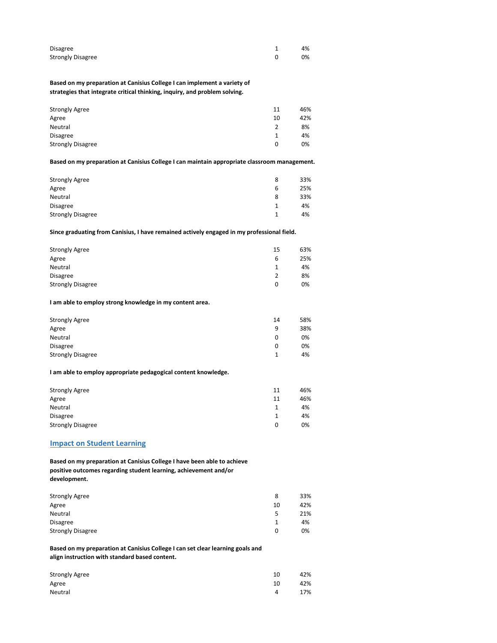| Disagree                 | 4% |
|--------------------------|----|
| <b>Strongly Disagree</b> | 0% |

**Based on my preparation at Canisius College I can implement a variety of strategies that integrate critical thinking, inquiry, and problem solving.**

| <b>Strongly Agree</b>    | 11 | 46% |
|--------------------------|----|-----|
| Agree                    | 10 | 42% |
| Neutral                  |    | 8%  |
| <b>Disagree</b>          |    | 4%  |
| <b>Strongly Disagree</b> | 0  | 0%  |

#### **Based on my preparation at Canisius College I can maintain appropriate classroom management.**

| <b>Strongly Agree</b>    | 8<br>6 | 33%<br>25% |
|--------------------------|--------|------------|
| Agree<br>Neutral         | 8      | 33%        |
| <b>Disagree</b>          | 1      | 4%         |
| <b>Strongly Disagree</b> | 1      | 4%         |

#### **Since graduating from Canisius, I have remained actively engaged in my professional field.**

| <b>Strongly Agree</b>    | 15 | 63% |
|--------------------------|----|-----|
| Agree                    | 6  | 25% |
| Neutral                  |    | 4%  |
| <b>Disagree</b>          | 2  | 8%  |
| <b>Strongly Disagree</b> | 0  | 0%  |

#### **I am able to employ strong knowledge in my content area.**

| <b>Strongly Agree</b>    | 14 | 58% |
|--------------------------|----|-----|
| Agree                    | q  | 38% |
| Neutral                  |    | 0%  |
| <b>Disagree</b>          |    | 0%  |
| <b>Strongly Disagree</b> |    | 4%  |

#### **I am able to employ appropriate pedagogical content knowledge.**

| <b>Strongly Agree</b>    | 11 | 46% |
|--------------------------|----|-----|
| Agree                    | 11 | 46% |
| Neutral                  |    | 4%  |
| <b>Disagree</b>          |    | 4%  |
| <b>Strongly Disagree</b> | 0  | 0%  |

# **Impact on Student Learning**

**Based on my preparation at Canisius College I have been able to achieve positive outcomes regarding student learning, achievement and/or development.**

| <b>Strongly Agree</b>    | 8  | 33% |
|--------------------------|----|-----|
| Agree                    | 10 | 42% |
| Neutral                  | 5  | 21% |
| <b>Disagree</b>          |    | 4%  |
| <b>Strongly Disagree</b> | 0  | 0%  |

### **Based on my preparation at Canisius College I can set clear learning goals and align instruction with standard based content.**

| <b>Strongly Agree</b> | 10 | 42% |
|-----------------------|----|-----|
| Agree                 | 10 | 42% |
| Neutral               | 4  | 17% |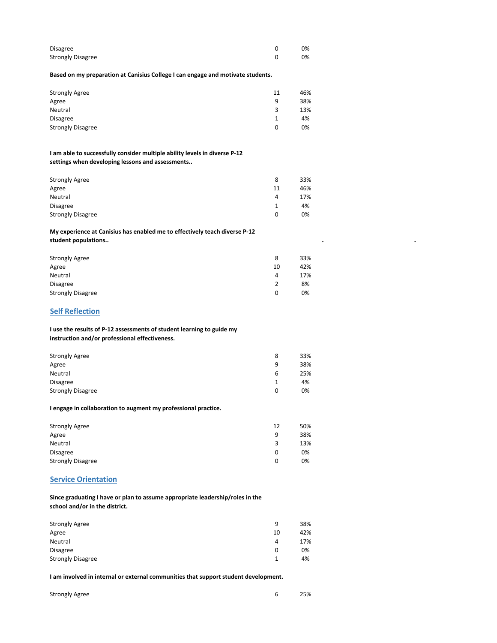| Disagree                 | 0% |
|--------------------------|----|
| <b>Strongly Disagree</b> | 0% |

**Based on my preparation at Canisius College I can engage and motivate students.**

| <b>Strongly Agree</b>    | 11 | 46% |
|--------------------------|----|-----|
| Agree                    | q  | 38% |
| Neutral                  | 3  | 13% |
| <b>Disagree</b>          |    | 4%  |
| <b>Strongly Disagree</b> | 0  | 0%  |

**I am able to successfully consider multiple ability levels in diverse P-12 settings when developing lessons and assessments..**

| <b>Strongly Agree</b>    | 8  | 33% |
|--------------------------|----|-----|
| Agree                    | 11 | 46% |
| Neutral                  | 4  | 17% |
| <b>Disagree</b>          |    | 4%  |
| <b>Strongly Disagree</b> | 0  | 0%  |

### **My experience at Canisius has enabled me to effectively teach diverse P-12 student populations.. . .**

| <b>Strongly Agree</b>    | 8<br>10 | 33%<br>42% |
|--------------------------|---------|------------|
| Agree<br>Neutral         | 4       | 17%        |
| <b>Disagree</b>          | 2       | 8%         |
| <b>Strongly Disagree</b> | 0       | 0%         |

## **Self Reflection**

**I use the results of P-12 assessments of student learning to guide my instruction and/or professional effectiveness.**

| <b>Strongly Agree</b>    | 8 | 33% |
|--------------------------|---|-----|
| Agree                    | 9 | 38% |
| Neutral                  | 6 | 25% |
| <b>Disagree</b>          |   | 4%  |
| <b>Strongly Disagree</b> | 0 | 0%  |

**I engage in collaboration to augment my professional practice.**

| <b>Strongly Agree</b>    | 12 | 50% |
|--------------------------|----|-----|
| Agree                    | 9  | 38% |
| Neutral                  | 3  | 13% |
| <b>Disagree</b>          | 0  | 0%  |
| <b>Strongly Disagree</b> | 0  | 0%  |

### **Service Orientation**

**Since graduating I have or plan to assume appropriate leadership/roles in the school and/or in the district.**

| <b>Strongly Agree</b>    | 9  | 38% |
|--------------------------|----|-----|
| Agree                    | 10 | 42% |
| Neutral                  | 4  | 17% |
| <b>Disagree</b>          | 0  | 0%  |
| <b>Strongly Disagree</b> | 1  | 4%  |

**I am involved in internal or external communities that support student development.**

|                       | 25% |
|-----------------------|-----|
| <b>Strongly Agree</b> |     |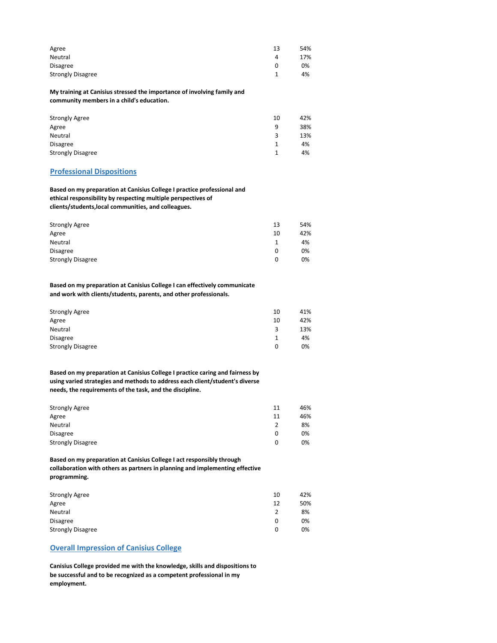| Agree                    | 13 | 54% |
|--------------------------|----|-----|
| Neutral                  | 4  | 17% |
| Disagree                 |    | 0%  |
| <b>Strongly Disagree</b> |    | 4%  |

**My training at Canisius stressed the importance of involving family and community members in a child's education.**

| <b>Strongly Agree</b>    | 10 | 42% |
|--------------------------|----|-----|
| Agree                    | 9  | 38% |
| Neutral                  | 3  | 13% |
| <b>Disagree</b>          |    | 4%  |
| <b>Strongly Disagree</b> |    | 4%  |

### **Professional Dispositions**

**Based on my preparation at Canisius College I practice professional and ethical responsibility by respecting multiple perspectives of clients/students,local communities, and colleagues.**

| <b>Strongly Agree</b>    | 13 | 54% |
|--------------------------|----|-----|
| Agree                    | 10 | 42% |
| Neutral                  | 1  | 4%  |
| <b>Disagree</b>          | 0  | 0%  |
| <b>Strongly Disagree</b> | 0  | 0%  |

**Based on my preparation at Canisius College I can effectively communicate and work with clients/students, parents, and other professionals.**

| <b>Strongly Agree</b>    | 10 | 41% |
|--------------------------|----|-----|
| Agree                    | 10 | 42% |
| Neutral                  | 3  | 13% |
| <b>Disagree</b>          |    | 4%  |
| <b>Strongly Disagree</b> | 0  | 0%  |

**Based on my preparation at Canisius College I practice caring and fairness by using varied strategies and methods to address each client/student's diverse needs, the requirements of the task, and the discipline.**

| <b>Strongly Agree</b>    | 11 | 46% |
|--------------------------|----|-----|
| Agree                    | 11 | 46% |
| Neutral                  | 2  | 8%  |
| <b>Disagree</b>          | 0  | 0%  |
| <b>Strongly Disagree</b> | 0  | 0%  |

**Based on my preparation at Canisius College I act responsibly through collaboration with others as partners in planning and implementing effective programming.**

| <b>Strongly Agree</b>    | 10 | 42% |
|--------------------------|----|-----|
| Agree                    | 12 | 50% |
| Neutral                  |    | 8%  |
| <b>Disagree</b>          | 0  | 0%  |
| <b>Strongly Disagree</b> | 0  | 0%  |

# **Overall Impression of Canisius College**

**Canisius College provided me with the knowledge, skills and dispositions to be successful and to be recognized as a competent professional in my employment.**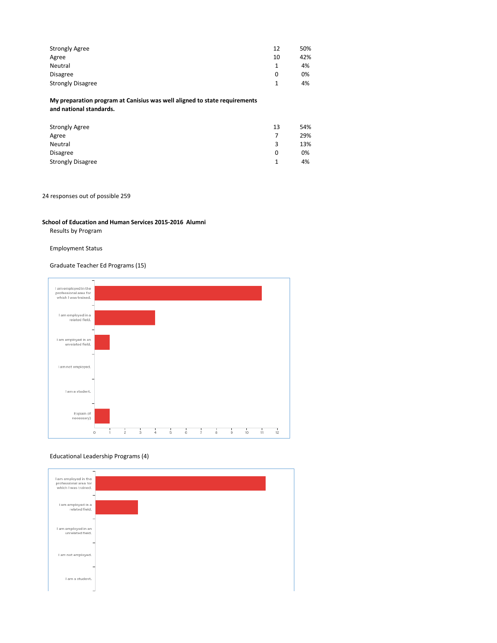| <b>Strongly Agree</b>    | 12 | 50% |
|--------------------------|----|-----|
| Agree                    | 10 | 42% |
| Neutral                  | 1  | 4%  |
| Disagree                 | 0  | 0%  |
| <b>Strongly Disagree</b> | 1  | 4%  |

**My preparation program at Canisius was well aligned to state requirements and national standards.**

| <b>Strongly Agree</b>    | 13 | 54% |
|--------------------------|----|-----|
| Agree                    |    | 29% |
| Neutral                  | 3  | 13% |
| <b>Disagree</b>          | 0  | 0%  |
| <b>Strongly Disagree</b> |    | 4%  |

### 24 responses out of possible 259

### **School of Education and Human Services 2015-2016 Alumni**

Results by Program

### Employment Status

### Graduate Teacher Ed Programs (15)



### Educational Leadership Programs (4)

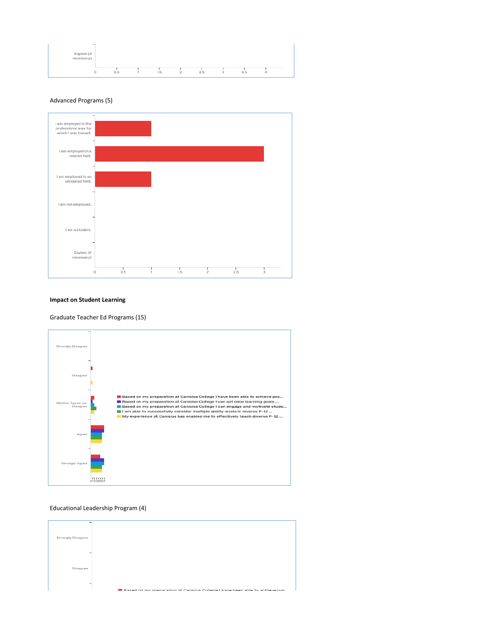

### Advanced Programs (5)



### **Impact on Student Learning**

Graduate Teacher Ed Programs (15)



### Educational Leadership Program (4)

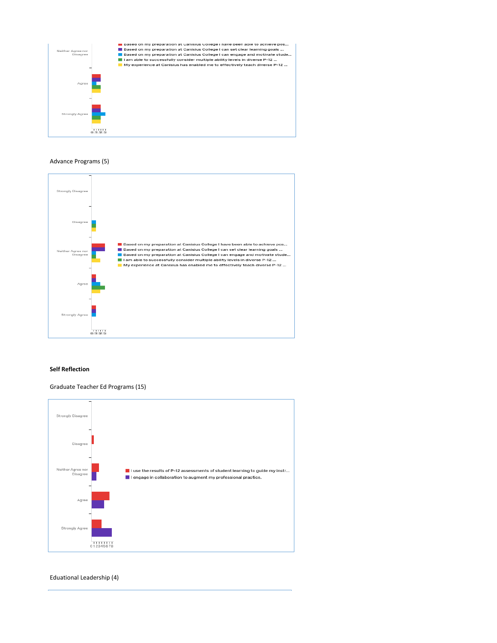

### Advance Programs (5)



#### **Self Reflection**

Graduate Teacher Ed Programs (15)



Eduational Leadership (4)